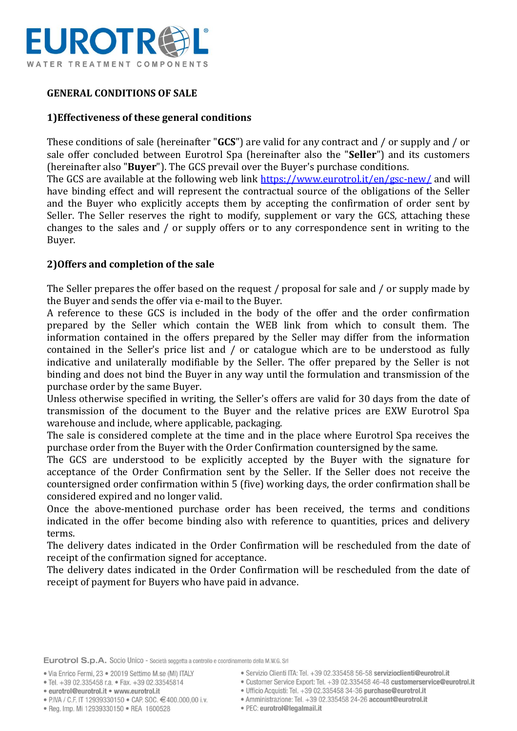

# **GENERAL CONDITIONS OF SALE**

### **1)Effectiveness of these general conditions**

These conditions of sale (hereinafter "**GCS**") are valid for any contract and / or supply and / or sale offer concluded between Eurotrol Spa (hereinafter also the "**Seller**") and its customers (hereinafter also "**Buyer**"). The GCS prevail over the Buyer's purchase conditions.

The GCS are available at the following web link<https://www.eurotrol.it/en/gsc-new/> and will have binding effect and will represent the contractual source of the obligations of the Seller and the Buyer who explicitly accepts them by accepting the confirmation of order sent by Seller. The Seller reserves the right to modify, supplement or vary the GCS, attaching these changes to the sales and / or supply offers or to any correspondence sent in writing to the Buyer.

#### **2)Offers and completion of the sale**

The Seller prepares the offer based on the request / proposal for sale and / or supply made by the Buyer and sends the offer via e-mail to the Buyer.

A reference to these GCS is included in the body of the offer and the order confirmation prepared by the Seller which contain the WEB link from which to consult them. The information contained in the offers prepared by the Seller may differ from the information contained in the Seller's price list and / or catalogue which are to be understood as fully indicative and unilaterally modifiable by the Seller. The offer prepared by the Seller is not binding and does not bind the Buyer in any way until the formulation and transmission of the purchase order by the same Buyer.

Unless otherwise specified in writing, the Seller's offers are valid for 30 days from the date of transmission of the document to the Buyer and the relative prices are EXW Eurotrol Spa warehouse and include, where applicable, packaging.

The sale is considered complete at the time and in the place where Eurotrol Spa receives the purchase order from the Buyer with the Order Confirmation countersigned by the same.

The GCS are understood to be explicitly accepted by the Buyer with the signature for acceptance of the Order Confirmation sent by the Seller. If the Seller does not receive the countersigned order confirmation within 5 (five) working days, the order confirmation shall be considered expired and no longer valid.

Once the above-mentioned purchase order has been received, the terms and conditions indicated in the offer become binding also with reference to quantities, prices and delivery terms.

The delivery dates indicated in the Order Confirmation will be rescheduled from the date of receipt of the confirmation signed for acceptance.

The delivery dates indicated in the Order Confirmation will be rescheduled from the date of receipt of payment for Buyers who have paid in advance.

- Eurotrol S.p.A. Socio Unico Società soggetta a controllo e coordinamento della M.W.G. Srl
- · Via Enrico Fermi, 23 · 20019 Settimo M.se (MI) ITALY
- · Tel. +39 02.335458 r.a. Fax. +39 02.33545814
- · eurotrol@eurotrol.it · www.eurotrol.it
- P.IVA / C.F. IT 12939330150 CAP. SOC. €400.000.00 i.v.
- 
- · Reg. Imp. Mi 12939330150 · REA 1600528
- · Servizio Clienti ITA: Tel. +39 02.335458 56-58 servizioclienti@eurotrol.it
- · Customer Service Export: Tel. +39 02.335458 46-48 customerservice@eurotrol.it
- · Ufficio Acquisti: Tel. +39 02.335458 34-36 purchase@eurotrol.it
- · Amministrazione: Tel. +39 02.335458 24-26 account@eurotrol.it
- · PEC: eurotrol@legalmail.it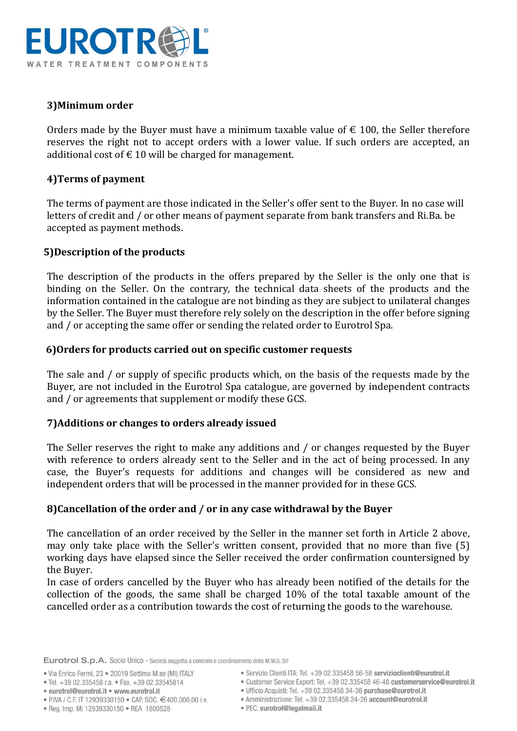

# **3)Minimum order**

Orders made by the Buyer must have a minimum taxable value of  $\epsilon$  100, the Seller therefore reserves the right not to accept orders with a lower value. If such orders are accepted, an additional cost of  $\epsilon$  10 will be charged for management.

# **4)Terms of payment**

The terms of payment are those indicated in the Seller's offer sent to the Buyer. In no case will letters of credit and / or other means of payment separate from bank transfers and Ri.Ba. be accepted as payment methods.

### **5)Description of the products**

The description of the products in the offers prepared by the Seller is the only one that is binding on the Seller. On the contrary, the technical data sheets of the products and the information contained in the catalogue are not binding as they are subject to unilateral changes by the Seller. The Buyer must therefore rely solely on the description in the offer before signing and / or accepting the same offer or sending the related order to Eurotrol Spa.

#### **6)Orders for products carried out on specific customer requests**

The sale and / or supply of specific products which, on the basis of the requests made by the Buyer, are not included in the Eurotrol Spa catalogue, are governed by independent contracts and / or agreements that supplement or modify these GCS.

### **7)Additions or changes to orders already issued**

The Seller reserves the right to make any additions and / or changes requested by the Buyer with reference to orders already sent to the Seller and in the act of being processed. In any case, the Buyer's requests for additions and changes will be considered as new and independent orders that will be processed in the manner provided for in these GCS.

### **8)Cancellation of the order and / or in any case withdrawal by the Buyer**

The cancellation of an order received by the Seller in the manner set forth in Article 2 above, may only take place with the Seller's written consent, provided that no more than five (5) working days have elapsed since the Seller received the order confirmation countersigned by the Buyer.

In case of orders cancelled by the Buyer who has already been notified of the details for the collection of the goods, the same shall be charged 10% of the total taxable amount of the cancelled order as a contribution towards the cost of returning the goods to the warehouse.

- 
- · eurotrol@eurotrol.it · www.eurotrol.it
- P.IVA / C.F. IT 12939330150 CAP. SOC. €400.000.00 i.v.
- · Reg. Imp. Mi 12939330150 · REA 1600528
- · Servizio Clienti ITA: Tel. +39 02.335458 56-58 servizioclienti@eurotrol.it
- · Customer Service Export: Tel. +39 02.335458 46-48 customerservice@eurotrol.it
- · Ufficio Acquisti: Tel. +39 02.335458 34-36 purchase@eurotrol.it
- · Amministrazione: Tel. +39 02.335458 24-26 account@eurotrol.it
- · PEC: eurotrol@legalmail.it

<sup>·</sup> Tel. +39 02.335458 r.a. • Fax. +39 02.33545814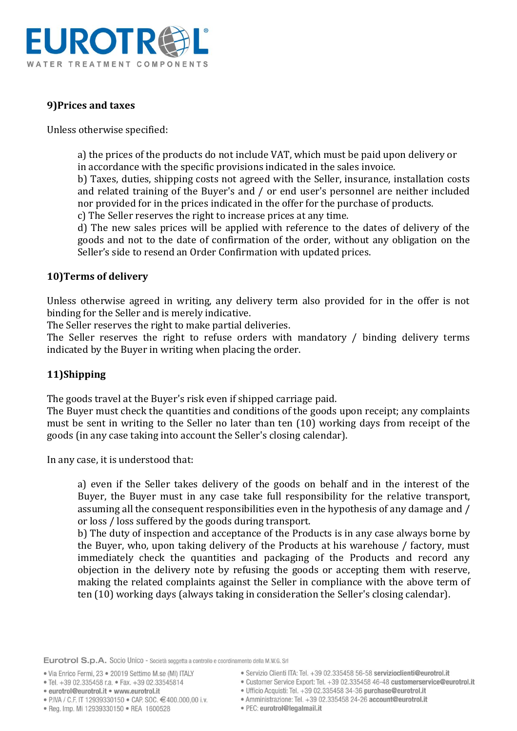

## **9)Prices and taxes**

Unless otherwise specified:

a) the prices of the products do not include VAT, which must be paid upon delivery or in accordance with the specific provisions indicated in the sales invoice.

b) Taxes, duties, shipping costs not agreed with the Seller, insurance, installation costs and related training of the Buyer's and / or end user's personnel are neither included nor provided for in the prices indicated in the offer for the purchase of products.

c) The Seller reserves the right to increase prices at any time.

d) The new sales prices will be applied with reference to the dates of delivery of the goods and not to the date of confirmation of the order, without any obligation on the Seller's side to resend an Order Confirmation with updated prices.

### **10)Terms of delivery**

Unless otherwise agreed in writing, any delivery term also provided for in the offer is not binding for the Seller and is merely indicative.

The Seller reserves the right to make partial deliveries.

The Seller reserves the right to refuse orders with mandatory / binding delivery terms indicated by the Buyer in writing when placing the order.

### **11)Shipping**

The goods travel at the Buyer's risk even if shipped carriage paid.

The Buyer must check the quantities and conditions of the goods upon receipt; any complaints must be sent in writing to the Seller no later than ten (10) working days from receipt of the goods (in any case taking into account the Seller's closing calendar).

In any case, it is understood that:

a) even if the Seller takes delivery of the goods on behalf and in the interest of the Buyer, the Buyer must in any case take full responsibility for the relative transport, assuming all the consequent responsibilities even in the hypothesis of any damage and / or loss / loss suffered by the goods during transport.

b) The duty of inspection and acceptance of the Products is in any case always borne by the Buyer, who, upon taking delivery of the Products at his warehouse / factory, must immediately check the quantities and packaging of the Products and record any objection in the delivery note by refusing the goods or accepting them with reserve, making the related complaints against the Seller in compliance with the above term of ten (10) working days (always taking in consideration the Seller's closing calendar).

- · Via Enrico Fermi, 23 · 20019 Settimo M.se (MI) ITALY
- · Tel. +39 02.335458 r.a. Fax. +39 02.33545814
- · eurotrol@eurotrol.it · www.eurotrol.it
- P.IVA / C.F. IT 12939330150 CAP. SOC. €400.000.00 i.v.
- 
- · Reg. Imp. Mi 12939330150 · REA 1600528
- · Servizio Clienti ITA: Tel. +39 02.335458 56-58 servizioclienti@eurotrol.it
- · Customer Service Export: Tel. +39 02.335458 46-48 customerservice@eurotrol.it
- · Ufficio Acquisti: Tel. +39 02.335458 34-36 purchase@eurotrol.it
- · Amministrazione: Tel. +39 02.335458 24-26 account@eurotrol.it
- · PEC: eurotrol@legalmail.it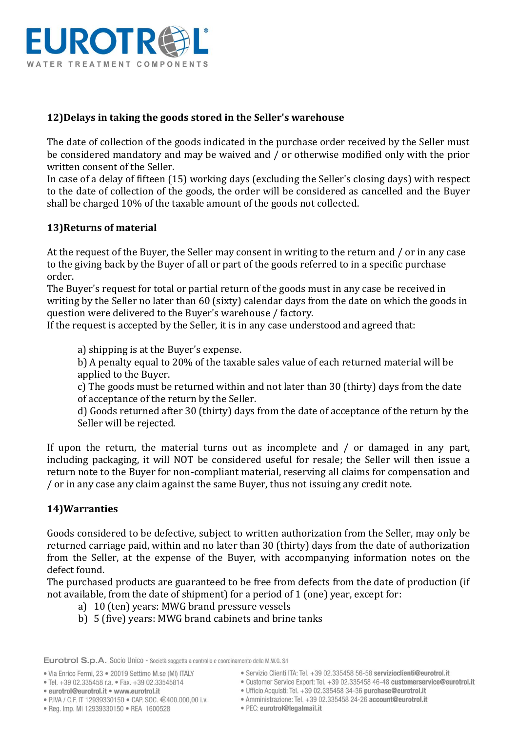

# **12)Delays in taking the goods stored in the Seller's warehouse**

The date of collection of the goods indicated in the purchase order received by the Seller must be considered mandatory and may be waived and / or otherwise modified only with the prior written consent of the Seller.

In case of a delay of fifteen (15) working days (excluding the Seller's closing days) with respect to the date of collection of the goods, the order will be considered as cancelled and the Buyer shall be charged 10% of the taxable amount of the goods not collected.

# **13)Returns of material**

At the request of the Buyer, the Seller may consent in writing to the return and / or in any case to the giving back by the Buyer of all or part of the goods referred to in a specific purchase order.

The Buyer's request for total or partial return of the goods must in any case be received in writing by the Seller no later than 60 (sixty) calendar days from the date on which the goods in question were delivered to the Buyer's warehouse / factory.

If the request is accepted by the Seller, it is in any case understood and agreed that:

a) shipping is at the Buyer's expense.

b) A penalty equal to 20% of the taxable sales value of each returned material will be applied to the Buyer.

c) The goods must be returned within and not later than 30 (thirty) days from the date of acceptance of the return by the Seller.

d) Goods returned after 30 (thirty) days from the date of acceptance of the return by the Seller will be rejected.

If upon the return, the material turns out as incomplete and / or damaged in any part, including packaging, it will NOT be considered useful for resale; the Seller will then issue a return note to the Buyer for non-compliant material, reserving all claims for compensation and / or in any case any claim against the same Buyer, thus not issuing any credit note.

### **14)Warranties**

Goods considered to be defective, subject to written authorization from the Seller, may only be returned carriage paid, within and no later than 30 (thirty) days from the date of authorization from the Seller, at the expense of the Buyer, with accompanying information notes on the defect found.

The purchased products are guaranteed to be free from defects from the date of production (if not available, from the date of shipment) for a period of 1 (one) year, except for:

- a) 10 (ten) years: MWG brand pressure vessels
- b) 5 (five) years: MWG brand cabinets and brine tanks

- · eurotrol@eurotrol.it · www.eurotrol.it
- P.IVA / C.F. IT 12939330150 CAP. SOC. €400.000.00 i.v.
- · Reg. Imp. Mi 12939330150 · REA 1600528
- · Servizio Clienti ITA: Tel. +39 02.335458 56-58 servizioclienti@eurotrol.it
- · Customer Service Export: Tel. +39 02.335458 46-48 customerservice@eurotrol.it
- · Ufficio Acquisti: Tel. +39 02.335458 34-36 purchase@eurotrol.it
- · Amministrazione: Tel. +39 02.335458 24-26 account@eurotrol.it
- · PEC: eurotrol@legalmail.it

<sup>·</sup> Via Enrico Fermi, 23 · 20019 Settimo M.se (MI) ITALY

<sup>·</sup> Tel. +39 02.335458 r.a. • Fax. +39 02.33545814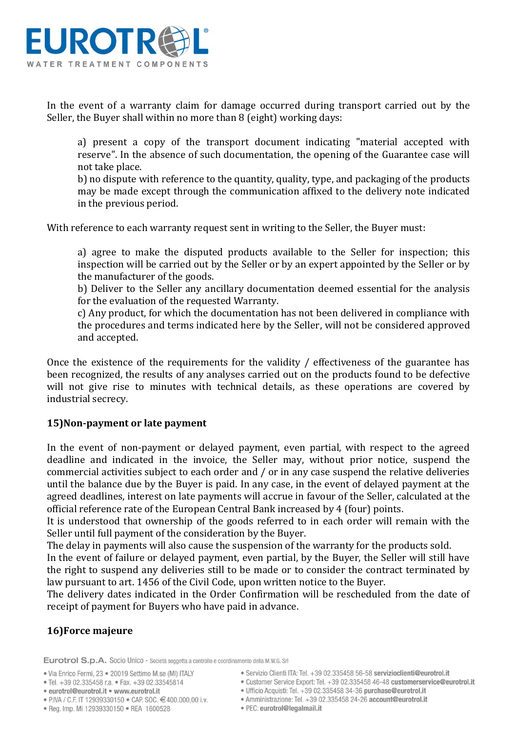

In the event of a warranty claim for damage occurred during transport carried out by the Seller, the Buyer shall within no more than 8 (eight) working days:

a) present a copy of the transport document indicating "material accepted with reserve". In the absence of such documentation, the opening of the Guarantee case will not take place.

b) no dispute with reference to the quantity, quality, type, and packaging of the products may be made except through the communication affixed to the delivery note indicated in the previous period.

With reference to each warranty request sent in writing to the Seller, the Buyer must:

a) agree to make the disputed products available to the Seller for inspection; this inspection will be carried out by the Seller or by an expert appointed by the Seller or by the manufacturer of the goods.

b) Deliver to the Seller any ancillary documentation deemed essential for the analysis for the evaluation of the requested Warranty.

c) Any product, for which the documentation has not been delivered in compliance with the procedures and terms indicated here by the Seller, will not be considered approved and accepted.

Once the existence of the requirements for the validity / effectiveness of the guarantee has been recognized, the results of any analyses carried out on the products found to be defective will not give rise to minutes with technical details, as these operations are covered by industrial secrecy.

### **15)Non-payment or late payment**

In the event of non-payment or delayed payment, even partial, with respect to the agreed deadline and indicated in the invoice, the Seller may, without prior notice, suspend the commercial activities subject to each order and / or in any case suspend the relative deliveries until the balance due by the Buyer is paid. In any case, in the event of delayed payment at the agreed deadlines, interest on late payments will accrue in favour of the Seller, calculated at the official reference rate of the European Central Bank increased by 4 (four) points.

It is understood that ownership of the goods referred to in each order will remain with the Seller until full payment of the consideration by the Buyer.

The delay in payments will also cause the suspension of the warranty for the products sold.

In the event of failure or delayed payment, even partial, by the Buyer, the Seller will still have the right to suspend any deliveries still to be made or to consider the contract terminated by law pursuant to art. 1456 of the Civil Code, upon written notice to the Buyer.

The delivery dates indicated in the Order Confirmation will be rescheduled from the date of receipt of payment for Buyers who have paid in advance.

### **16)Force majeure**

- · Via Enrico Fermi, 23 · 20019 Settimo M.se (MI) ITALY
- · Tel. +39 02.335458 r.a. Fax. +39 02.33545814
- · eurotrol@eurotrol.it · www.eurotrol.it
- P.IVA / C.F. IT 12939330150 CAP. SOC. €400.000.00 i.v.
- 
- · Reg. Imp. Mi 12939330150 · REA 1600528
- · Servizio Clienti ITA: Tel. +39 02.335458 56-58 servizioclienti@eurotrol.it
- · Customer Service Export: Tel. +39 02.335458 46-48 customerservice@eurotrol.it
- · Ufficio Acquisti: Tel. +39 02.335458 34-36 purchase@eurotrol.it
- · Amministrazione: Tel. +39 02.335458 24-26 account@eurotrol.it
- · PEC: eurotrol@legalmail.it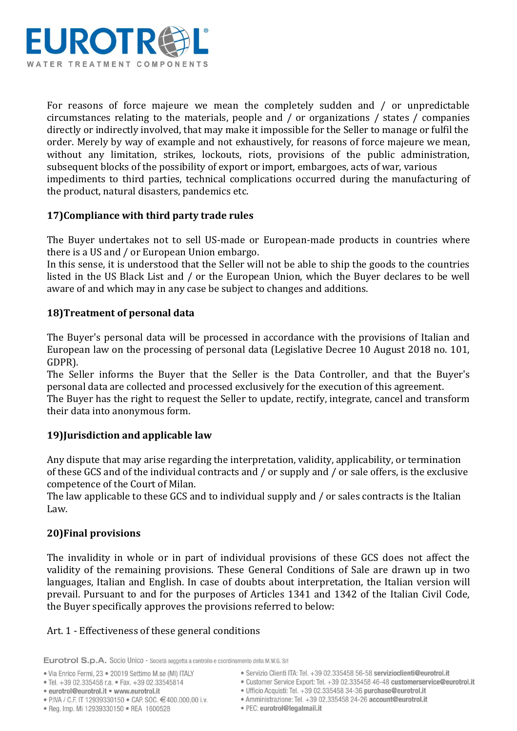

For reasons of force majeure we mean the completely sudden and / or unpredictable circumstances relating to the materials, people and / or organizations / states / companies directly or indirectly involved, that may make it impossible for the Seller to manage or fulfil the order. Merely by way of example and not exhaustively, for reasons of force majeure we mean, without any limitation, strikes, lockouts, riots, provisions of the public administration, subsequent blocks of the possibility of export or import, embargoes, acts of war, various impediments to third parties, technical complications occurred during the manufacturing of the product, natural disasters, pandemics etc.

# **17)Compliance with third party trade rules**

The Buyer undertakes not to sell US-made or European-made products in countries where there is a US and / or European Union embargo.

In this sense, it is understood that the Seller will not be able to ship the goods to the countries listed in the US Black List and / or the European Union, which the Buyer declares to be well aware of and which may in any case be subject to changes and additions.

### **18)Treatment of personal data**

The Buyer's personal data will be processed in accordance with the provisions of Italian and European law on the processing of personal data (Legislative Decree 10 August 2018 no. 101, GDPR).

The Seller informs the Buyer that the Seller is the Data Controller, and that the Buyer's personal data are collected and processed exclusively for the execution of this agreement. The Buyer has the right to request the Seller to update, rectify, integrate, cancel and transform their data into anonymous form.

# **19)Jurisdiction and applicable law**

Any dispute that may arise regarding the interpretation, validity, applicability, or termination of these GCS and of the individual contracts and / or supply and / or sale offers, is the exclusive competence of the Court of Milan.

The law applicable to these GCS and to individual supply and / or sales contracts is the Italian Law.

### **20)Final provisions**

The invalidity in whole or in part of individual provisions of these GCS does not affect the validity of the remaining provisions. These General Conditions of Sale are drawn up in two languages, Italian and English. In case of doubts about interpretation, the Italian version will prevail. Pursuant to and for the purposes of Articles 1341 and 1342 of the Italian Civil Code, the Buyer specifically approves the provisions referred to below:

### Art. 1 - Effectiveness of these general conditions

- P.IVA / C.F. IT 12939330150 CAP. SOC. €400.000.00 i.v.
- · Reg. Imp. Mi 12939330150 · REA 1600528
- · Servizio Clienti ITA: Tel. +39 02.335458 56-58 servizioclienti@eurotrol.it
- · Customer Service Export: Tel. +39 02.335458 46-48 customerservice@eurotrol.it
- · Ufficio Acquisti: Tel. +39 02.335458 34-36 purchase@eurotrol.it
- · Amministrazione: Tel. +39 02.335458 24-26 account@eurotrol.it
- · PEC: eurotrol@legalmail.it

<sup>·</sup> Via Enrico Fermi, 23 · 20019 Settimo M.se (MI) ITALY

<sup>·</sup> Tel. +39 02.335458 r.a. • Fax. +39 02.33545814

<sup>·</sup> eurotrol@eurotrol.it · www.eurotrol.it